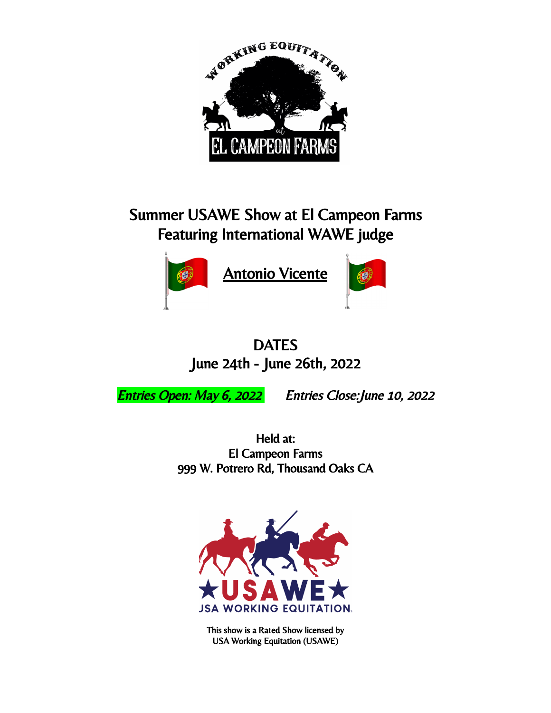

# Summer USAWE Show at El Campeon Farms Featuring International WAWE judge



**Antonio Vicente** 



## **DATES** June 24th - June 26th, 2022

Entries Open: May 6, 2022 Entries Close:June 10, 2022

Held at: El Campeon Farms 999 W. Potrero Rd, Thousand Oaks CA



This show is a Rated Show licensed by USA Working Equitation (USAWE)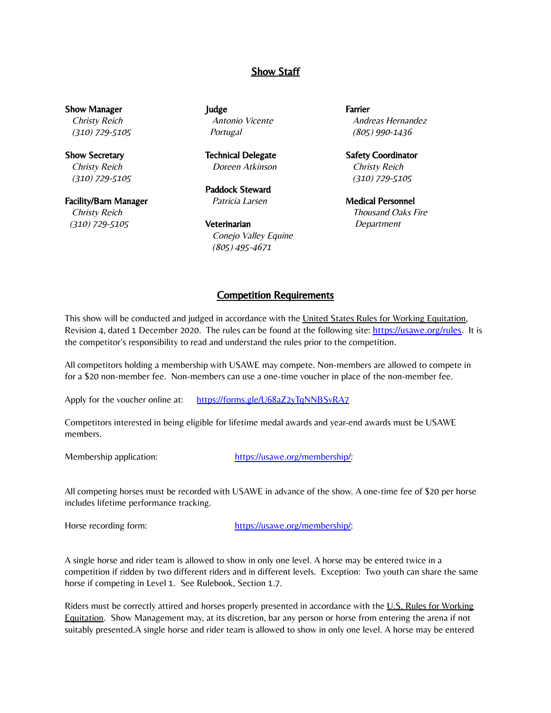#### **Show Staff**

Show Manager Christy Reich (310) 729-5105

Show Secretary Christy Reich (310) 729-5105

Facility/Barn Manager Christy Reich (310) 729-5105

Judge Antonio Vicente **Portugal** 

Technical Delegate Doreen Atkinson

Paddock Steward Patricia Larsen

**Veterinarian** Conejo Valley Equine (805) 495-4671

Farrier Andreas Hernandez (805) 990-1436

Safety Coordinator Christy Reich (310) 729-5105

Medical Personnel Thousand Oaks Fire Department

#### Competition Requirements

This show will be conducted and judged in accordance with the United States Rules for Working Equitation, Revision 4, dated 1 December 2020. The rules can be found at the following site: <https://usawe.org/rules>. It is the competitor's responsibility to read and understand the rules prior to the competition.

All competitors holding a membership with USAWE may compete. Non-members are allowed to compete in for a \$20 non-member fee. Non-members can use a one-time voucher in place of the non-member fee.

Apply for the voucher online at: <https://forms.gle/U68aZ2yTqNNBSvRA7>

Competitors interested in being eligible for lifetime medal awards and year-end awards must be USAWE members.

Membership application: [https://usawe.org/membership/:](https://usawe.org/membership/)

All competing horses must be recorded with USAWE in advance of the show. A one-time fee of \$20 per horse includes lifetime performance tracking.

Horse recording form: [https://usawe.org/membership/:](https://usawe.org/membership/)

A single horse and rider team is allowed to show in only one level. A horse may be entered twice in a competition if ridden by two different riders and in different levels. Exception: Two youth can share the same horse if competing in Level 1. See Rulebook, Section 1.7.

Riders must be correctly attired and horses properly presented in accordance with the U.S. Rules for Working Equitation. Show Management may, at its discretion, bar any person or horse from entering the arena if not suitably presented.A single horse and rider team is allowed to show in only one level. A horse may be entered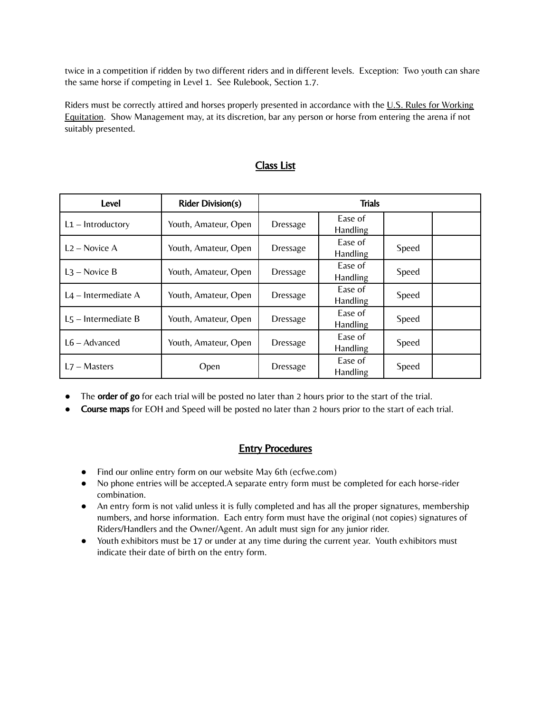twice in a competition if ridden by two different riders and in different levels. Exception: Two youth can share the same horse if competing in Level 1. See Rulebook, Section 1.7.

Riders must be correctly attired and horses properly presented in accordance with the  $U.S.$  Rules for Working Equitation. Show Management may, at its discretion, bar any person or horse from entering the arena if not suitably presented.

| Level                  | <b>Rider Division(s)</b> | <b>Trials</b>   |                            |       |  |
|------------------------|--------------------------|-----------------|----------------------------|-------|--|
| $L1 - Introducing$     | Youth, Amateur, Open     | <b>Dressage</b> | Ease of<br><b>Handling</b> |       |  |
| $L2 - \text{Novice A}$ | Youth, Amateur, Open     | <b>Dressage</b> | Ease of<br><b>Handling</b> | Speed |  |
| $L3$ – Novice B        | Youth, Amateur, Open     | <b>Dressage</b> | Ease of<br>Handling        | Speed |  |
| $L4$ – Intermediate A  | Youth, Amateur, Open     | <b>Dressage</b> | Ease of<br><b>Handling</b> | Speed |  |
| $L5$ – Intermediate B  | Youth, Amateur, Open     | <b>Dressage</b> | Ease of<br>Handling        | Speed |  |
| $L6 -$ Advanced        | Youth, Amateur, Open     | <b>Dressage</b> | Ease of<br>Handling        | Speed |  |
| $L7 - Masters$         | Open                     | <b>Dressage</b> | Ease of<br>Handling        | Speed |  |

#### Class List

- The **order of go** for each trial will be posted no later than 2 hours prior to the start of the trial.
- Course maps for EOH and Speed will be posted no later than 2 hours prior to the start of each trial.

#### Entry Procedures

- Find our online entry form on our website May 6th (ecfwe.com)
- No phone entries will be accepted.A separate entry form must be completed for each horse-rider combination.
- An entry form is not valid unless it is fully completed and has all the proper signatures, membership numbers, and horse information. Each entry form must have the original (not copies) signatures of Riders/Handlers and the Owner/Agent. An adult must sign for any junior rider.
- Youth exhibitors must be 17 or under at any time during the current year. Youth exhibitors must indicate their date of birth on the entry form.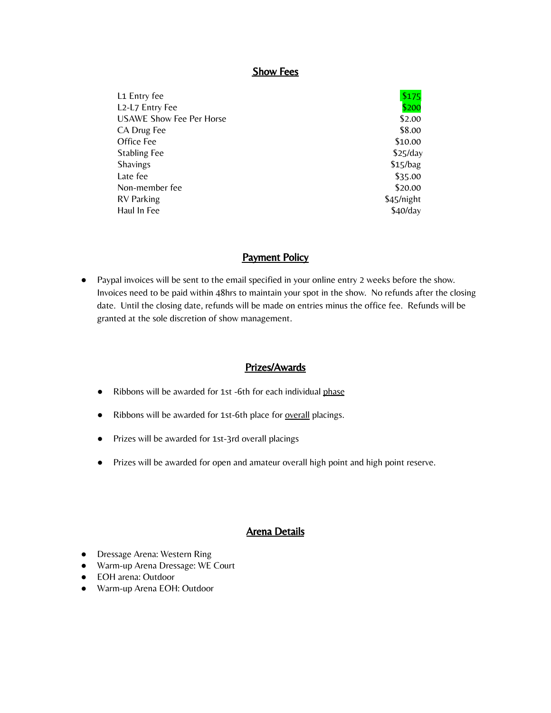#### Show Fees

| L <sub>1</sub> Entry fee        | \$175      |
|---------------------------------|------------|
| L2-L7 Entry Fee                 | \$200      |
| <b>USAWE Show Fee Per Horse</b> | \$2.00     |
| CA Drug Fee                     | \$8.00     |
| Office Fee                      | \$10.00    |
| <b>Stabling Fee</b>             | \$25/day   |
| <b>Shavings</b>                 | \$15/bag   |
| Late fee                        | \$35.00    |
| Non-member fee                  | \$20.00    |
| <b>RV</b> Parking               | \$45/night |
| Haul In Fee                     | $$40$ /day |

#### Payment Policy

● Paypal invoices will be sent to the email specified in your online entry 2 weeks before the show. Invoices need to be paid within 48hrs to maintain your spot in the show. No refunds after the closing date. Until the closing date, refunds will be made on entries minus the office fee. Refunds will be granted at the sole discretion of show management.

#### Prizes/Awards

- Ribbons will be awarded for 1st -6th for each individual phase
- Ribbons will be awarded for 1st-6th place for **overall** placings.
- Prizes will be awarded for 1st-3rd overall placings
- Prizes will be awarded for open and amateur overall high point and high point reserve.

#### Arena Details

- Dressage Arena: Western Ring
- Warm-up Arena Dressage: WE Court
- **●** EOH arena: Outdoor
- **●** Warm-up Arena EOH: Outdoor